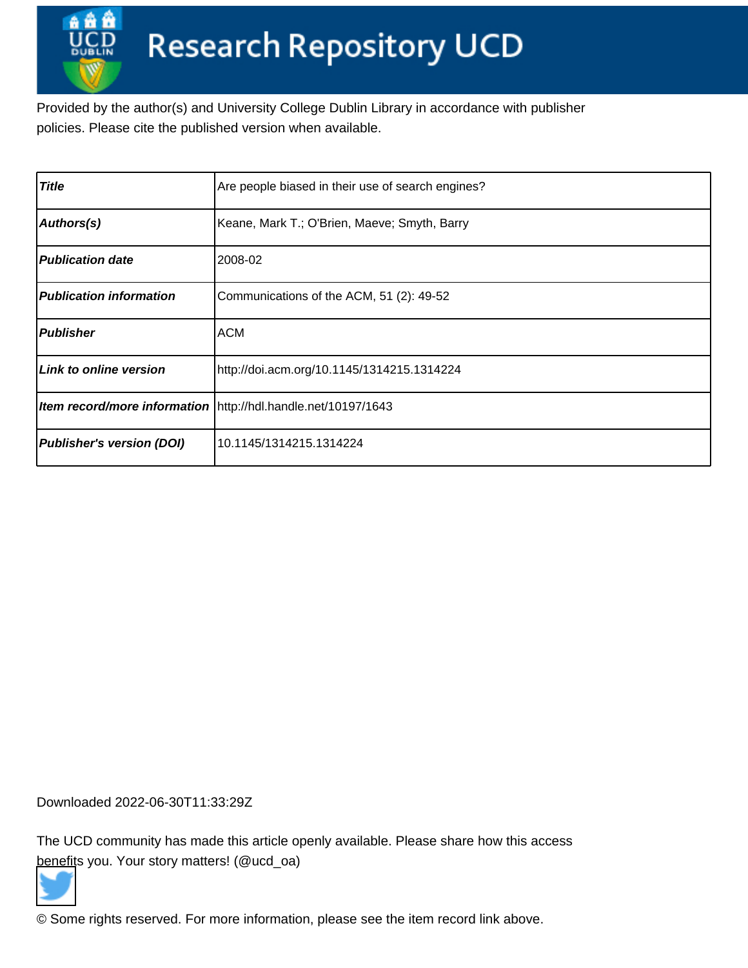Provided by the author(s) and University College Dublin Library in accordance with publisher policies. Please cite the published version when available.

| Title                            | Are people biased in their use of search engines?             |
|----------------------------------|---------------------------------------------------------------|
| Authors(s)                       | Keane, Mark T.; O'Brien, Maeve; Smyth, Barry                  |
| <b>Publication date</b>          | 2008-02                                                       |
| <b>Publication information</b>   | Communications of the ACM, 51 (2): 49-52                      |
| <b>Publisher</b>                 | <b>ACM</b>                                                    |
| Link to online version           | http://doi.acm.org/10.1145/1314215.1314224                    |
|                                  | Item record/more information http://hdl.handle.net/10197/1643 |
| <b>Publisher's version (DOI)</b> | 10.1145/1314215.1314224                                       |

Downloaded 2022-06-30T11:33:29Z

The UCD community has made this article openly available. Please share how this access [benefit](https://twitter.com/intent/tweet?via=ucd_oa&text=DOI%3A10.1145%2F1314215.1314224&url=http%3A%2F%2Fhdl.handle.net%2F10197%2F1643)s you. Your story matters! (@ucd\_oa)



© Some rights reserved. For more information, please see the item record link above.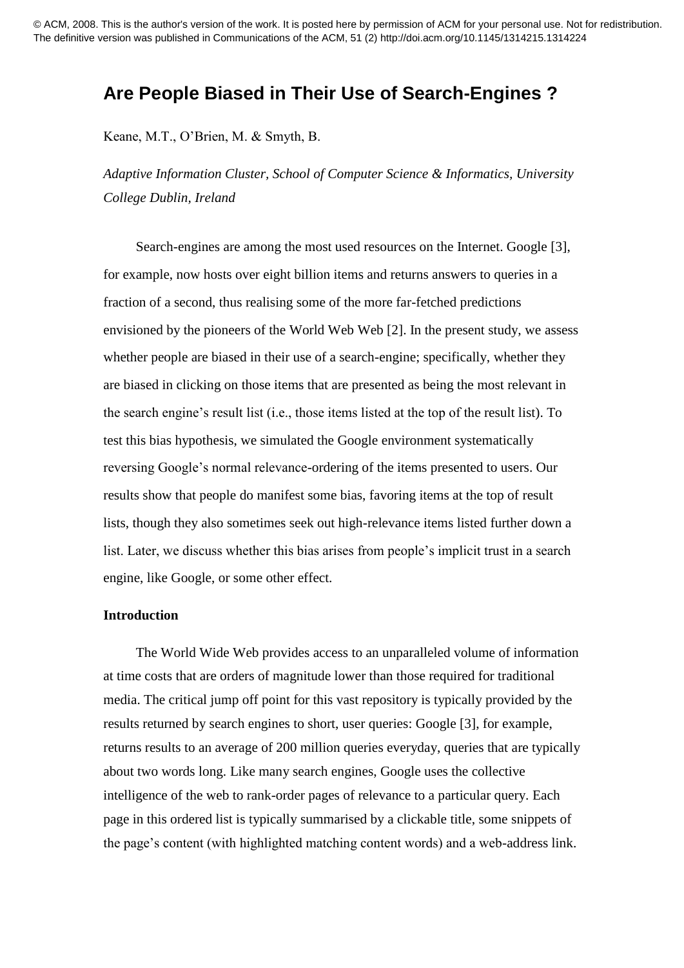# **Are People Biased in Their Use of Search-Engines ?**

Keane, M.T., O'Brien, M. & Smyth, B.

*Adaptive Information Cluster, School of Computer Science & Informatics, University College Dublin, Ireland*

Search-engines are among the most used resources on the Internet. Google [3], for example, now hosts over eight billion items and returns answers to queries in a fraction of a second, thus realising some of the more far-fetched predictions envisioned by the pioneers of the World Web Web [2]. In the present study, we assess whether people are biased in their use of a search-engine; specifically, whether they are biased in clicking on those items that are presented as being the most relevant in the search engine's result list (i.e., those items listed at the top of the result list). To test this bias hypothesis, we simulated the Google environment systematically reversing Google's normal relevance-ordering of the items presented to users. Our results show that people do manifest some bias, favoring items at the top of result lists, though they also sometimes seek out high-relevance items listed further down a list. Later, we discuss whether this bias arises from people's implicit trust in a search engine, like Google, or some other effect.

### **Introduction**

The World Wide Web provides access to an unparalleled volume of information at time costs that are orders of magnitude lower than those required for traditional media. The critical jump off point for this vast repository is typically provided by the results returned by search engines to short, user queries: Google [3], for example, returns results to an average of 200 million queries everyday, queries that are typically about two words long. Like many search engines, Google uses the collective intelligence of the web to rank-order pages of relevance to a particular query. Each page in this ordered list is typically summarised by a clickable title, some snippets of the page's content (with highlighted matching content words) and a web-address link.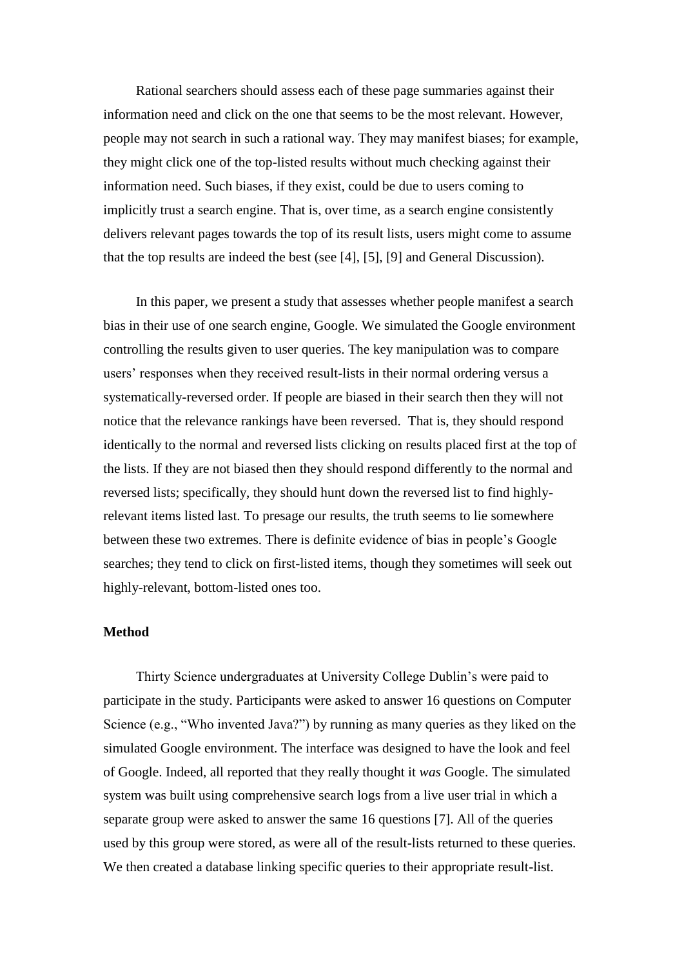Rational searchers should assess each of these page summaries against their information need and click on the one that seems to be the most relevant. However, people may not search in such a rational way. They may manifest biases; for example, they might click one of the top-listed results without much checking against their information need. Such biases, if they exist, could be due to users coming to implicitly trust a search engine. That is, over time, as a search engine consistently delivers relevant pages towards the top of its result lists, users might come to assume that the top results are indeed the best (see [4], [5], [9] and General Discussion).

In this paper, we present a study that assesses whether people manifest a search bias in their use of one search engine, Google. We simulated the Google environment controlling the results given to user queries. The key manipulation was to compare users' responses when they received result-lists in their normal ordering versus a systematically-reversed order. If people are biased in their search then they will not notice that the relevance rankings have been reversed. That is, they should respond identically to the normal and reversed lists clicking on results placed first at the top of the lists. If they are not biased then they should respond differently to the normal and reversed lists; specifically, they should hunt down the reversed list to find highlyrelevant items listed last. To presage our results, the truth seems to lie somewhere between these two extremes. There is definite evidence of bias in people's Google searches; they tend to click on first-listed items, though they sometimes will seek out highly-relevant, bottom-listed ones too.

#### **Method**

Thirty Science undergraduates at University College Dublin's were paid to participate in the study. Participants were asked to answer 16 questions on Computer Science (e.g., "Who invented Java?") by running as many queries as they liked on the simulated Google environment. The interface was designed to have the look and feel of Google. Indeed, all reported that they really thought it *was* Google. The simulated system was built using comprehensive search logs from a live user trial in which a separate group were asked to answer the same 16 questions [7]. All of the queries used by this group were stored, as were all of the result-lists returned to these queries. We then created a database linking specific queries to their appropriate result-list.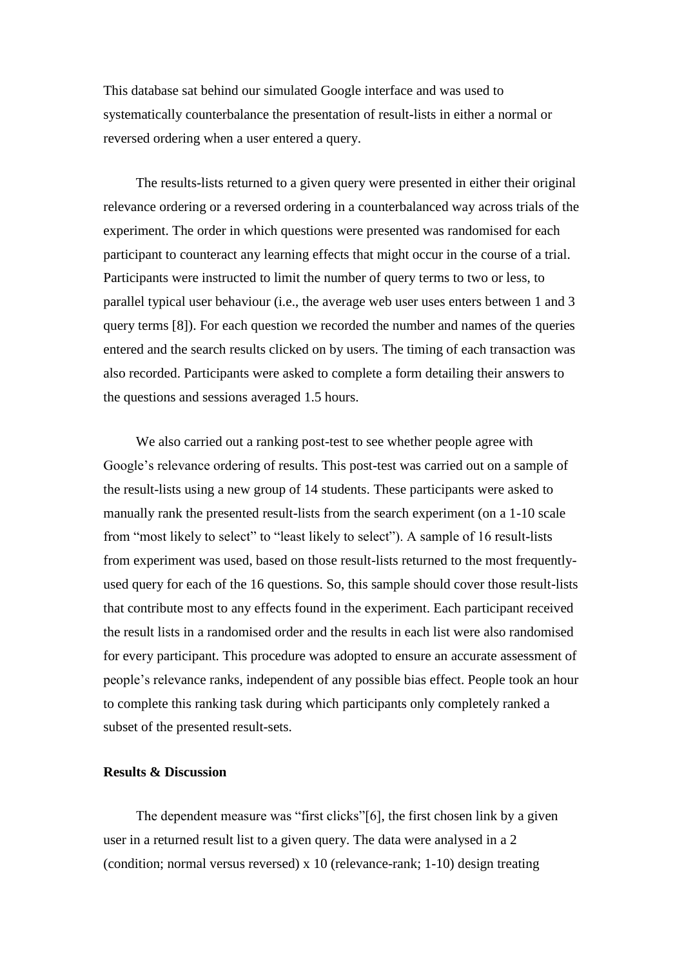This database sat behind our simulated Google interface and was used to systematically counterbalance the presentation of result-lists in either a normal or reversed ordering when a user entered a query.

The results-lists returned to a given query were presented in either their original relevance ordering or a reversed ordering in a counterbalanced way across trials of the experiment. The order in which questions were presented was randomised for each participant to counteract any learning effects that might occur in the course of a trial. Participants were instructed to limit the number of query terms to two or less, to parallel typical user behaviour (i.e., the average web user uses enters between 1 and 3 query terms [8]). For each question we recorded the number and names of the queries entered and the search results clicked on by users. The timing of each transaction was also recorded. Participants were asked to complete a form detailing their answers to the questions and sessions averaged 1.5 hours.

We also carried out a ranking post-test to see whether people agree with Google's relevance ordering of results. This post-test was carried out on a sample of the result-lists using a new group of 14 students. These participants were asked to manually rank the presented result-lists from the search experiment (on a 1-10 scale from "most likely to select" to "least likely to select"). A sample of 16 result-lists from experiment was used, based on those result-lists returned to the most frequentlyused query for each of the 16 questions. So, this sample should cover those result-lists that contribute most to any effects found in the experiment. Each participant received the result lists in a randomised order and the results in each list were also randomised for every participant. This procedure was adopted to ensure an accurate assessment of people's relevance ranks, independent of any possible bias effect. People took an hour to complete this ranking task during which participants only completely ranked a subset of the presented result-sets.

### **Results & Discussion**

The dependent measure was "first clicks"[6], the first chosen link by a given user in a returned result list to a given query. The data were analysed in a 2 (condition; normal versus reversed) x 10 (relevance-rank; 1-10) design treating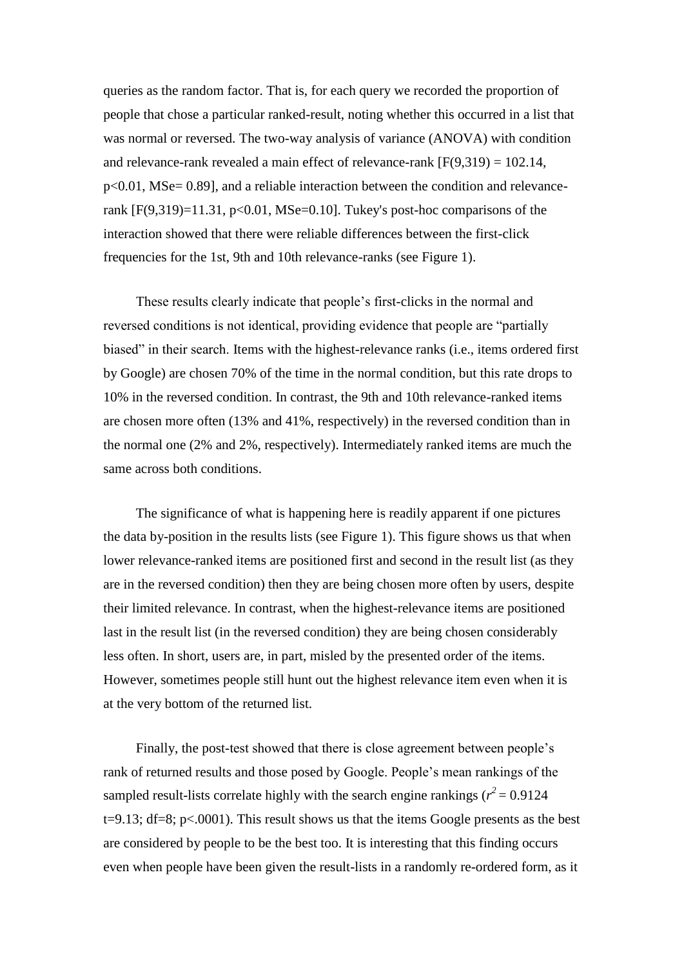queries as the random factor. That is, for each query we recorded the proportion of people that chose a particular ranked-result, noting whether this occurred in a list that was normal or reversed. The two-way analysis of variance (ANOVA) with condition and relevance-rank revealed a main effect of relevance-rank  $[F(9,319) = 102.14$ ,  $p<0.01$ , MSe= 0.89], and a reliable interaction between the condition and relevancerank  $[F(9,319)=11.31, p<0.01, \text{MSe}=0.10]$ . Tukey's post-hoc comparisons of the interaction showed that there were reliable differences between the first-click frequencies for the 1st, 9th and 10th relevance-ranks (see Figure 1).

These results clearly indicate that people's first-clicks in the normal and reversed conditions is not identical, providing evidence that people are "partially biased" in their search. Items with the highest-relevance ranks (i.e., items ordered first by Google) are chosen 70% of the time in the normal condition, but this rate drops to 10% in the reversed condition. In contrast, the 9th and 10th relevance-ranked items are chosen more often (13% and 41%, respectively) in the reversed condition than in the normal one (2% and 2%, respectively). Intermediately ranked items are much the same across both conditions.

The significance of what is happening here is readily apparent if one pictures the data by-position in the results lists (see Figure 1). This figure shows us that when lower relevance-ranked items are positioned first and second in the result list (as they are in the reversed condition) then they are being chosen more often by users, despite their limited relevance. In contrast, when the highest-relevance items are positioned last in the result list (in the reversed condition) they are being chosen considerably less often. In short, users are, in part, misled by the presented order of the items. However, sometimes people still hunt out the highest relevance item even when it is at the very bottom of the returned list.

Finally, the post-test showed that there is close agreement between people's rank of returned results and those posed by Google. People's mean rankings of the sampled result-lists correlate highly with the search engine rankings ( $r^2$  = 0.9124  $t=9.13$ ; df=8; p<.0001). This result shows us that the items Google presents as the best are considered by people to be the best too. It is interesting that this finding occurs even when people have been given the result-lists in a randomly re-ordered form, as it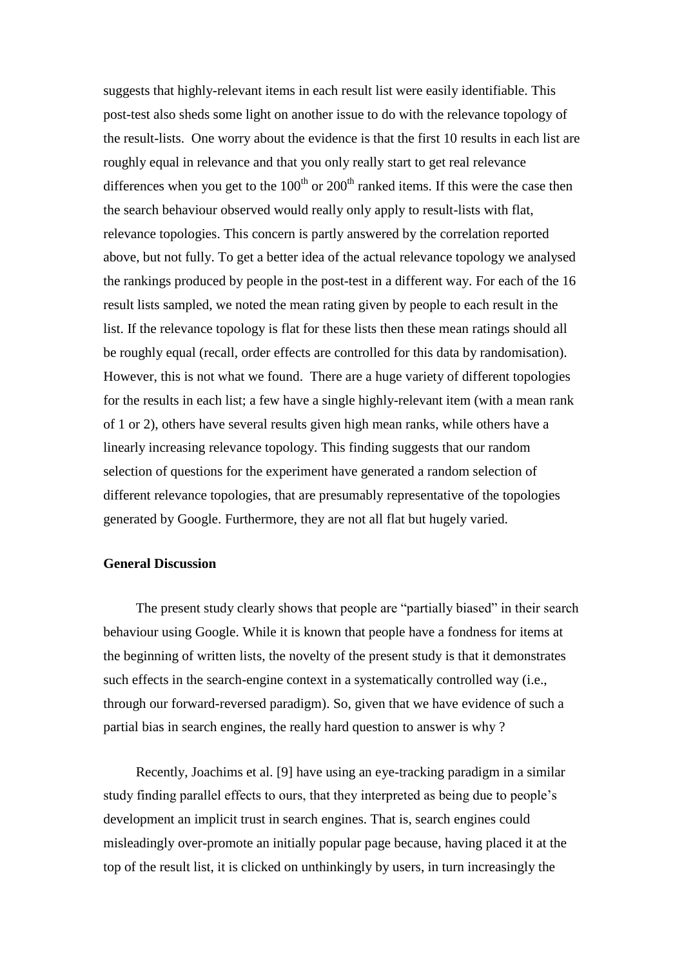suggests that highly-relevant items in each result list were easily identifiable. This post-test also sheds some light on another issue to do with the relevance topology of the result-lists. One worry about the evidence is that the first 10 results in each list are roughly equal in relevance and that you only really start to get real relevance differences when you get to the  $100<sup>th</sup>$  or  $200<sup>th</sup>$  ranked items. If this were the case then the search behaviour observed would really only apply to result-lists with flat, relevance topologies. This concern is partly answered by the correlation reported above, but not fully. To get a better idea of the actual relevance topology we analysed the rankings produced by people in the post-test in a different way. For each of the 16 result lists sampled, we noted the mean rating given by people to each result in the list. If the relevance topology is flat for these lists then these mean ratings should all be roughly equal (recall, order effects are controlled for this data by randomisation). However, this is not what we found. There are a huge variety of different topologies for the results in each list; a few have a single highly-relevant item (with a mean rank of 1 or 2), others have several results given high mean ranks, while others have a linearly increasing relevance topology. This finding suggests that our random selection of questions for the experiment have generated a random selection of different relevance topologies, that are presumably representative of the topologies generated by Google. Furthermore, they are not all flat but hugely varied.

## **General Discussion**

The present study clearly shows that people are "partially biased" in their search behaviour using Google. While it is known that people have a fondness for items at the beginning of written lists, the novelty of the present study is that it demonstrates such effects in the search-engine context in a systematically controlled way (i.e., through our forward-reversed paradigm). So, given that we have evidence of such a partial bias in search engines, the really hard question to answer is why ?

Recently, Joachims et al. [9] have using an eye-tracking paradigm in a similar study finding parallel effects to ours, that they interpreted as being due to people's development an implicit trust in search engines. That is, search engines could misleadingly over-promote an initially popular page because, having placed it at the top of the result list, it is clicked on unthinkingly by users, in turn increasingly the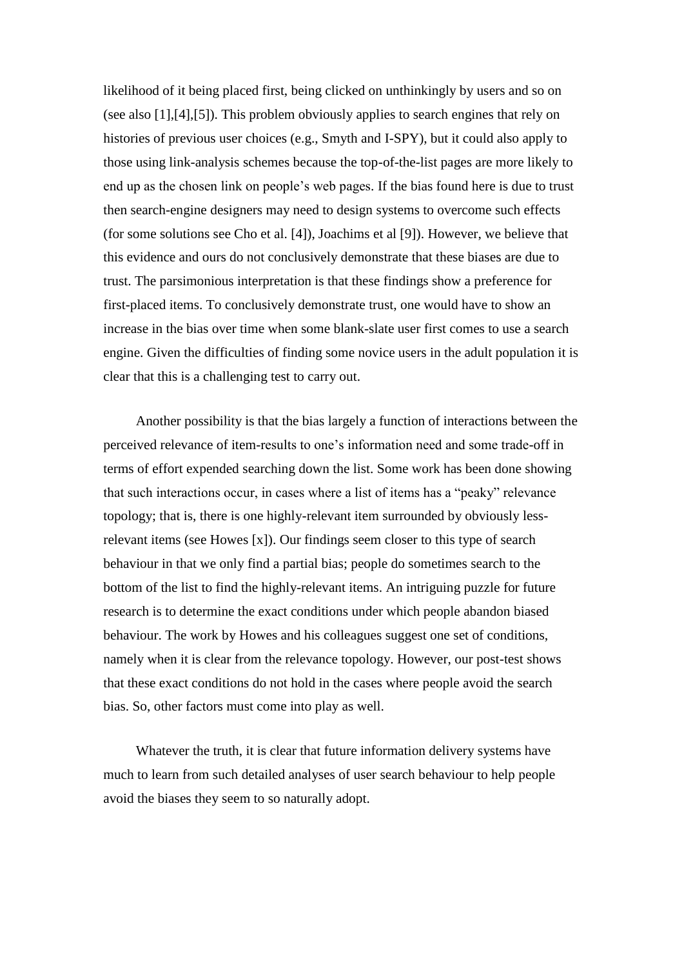likelihood of it being placed first, being clicked on unthinkingly by users and so on (see also [1],[4],[5]). This problem obviously applies to search engines that rely on histories of previous user choices (e.g., Smyth and I-SPY), but it could also apply to those using link-analysis schemes because the top-of-the-list pages are more likely to end up as the chosen link on people's web pages. If the bias found here is due to trust then search-engine designers may need to design systems to overcome such effects (for some solutions see Cho et al. [4]), Joachims et al [9]). However, we believe that this evidence and ours do not conclusively demonstrate that these biases are due to trust. The parsimonious interpretation is that these findings show a preference for first-placed items. To conclusively demonstrate trust, one would have to show an increase in the bias over time when some blank-slate user first comes to use a search engine. Given the difficulties of finding some novice users in the adult population it is clear that this is a challenging test to carry out.

Another possibility is that the bias largely a function of interactions between the perceived relevance of item-results to one's information need and some trade-off in terms of effort expended searching down the list. Some work has been done showing that such interactions occur, in cases where a list of items has a "peaky" relevance topology; that is, there is one highly-relevant item surrounded by obviously lessrelevant items (see Howes [x]). Our findings seem closer to this type of search behaviour in that we only find a partial bias; people do sometimes search to the bottom of the list to find the highly-relevant items. An intriguing puzzle for future research is to determine the exact conditions under which people abandon biased behaviour. The work by Howes and his colleagues suggest one set of conditions, namely when it is clear from the relevance topology. However, our post-test shows that these exact conditions do not hold in the cases where people avoid the search bias. So, other factors must come into play as well.

Whatever the truth, it is clear that future information delivery systems have much to learn from such detailed analyses of user search behaviour to help people avoid the biases they seem to so naturally adopt.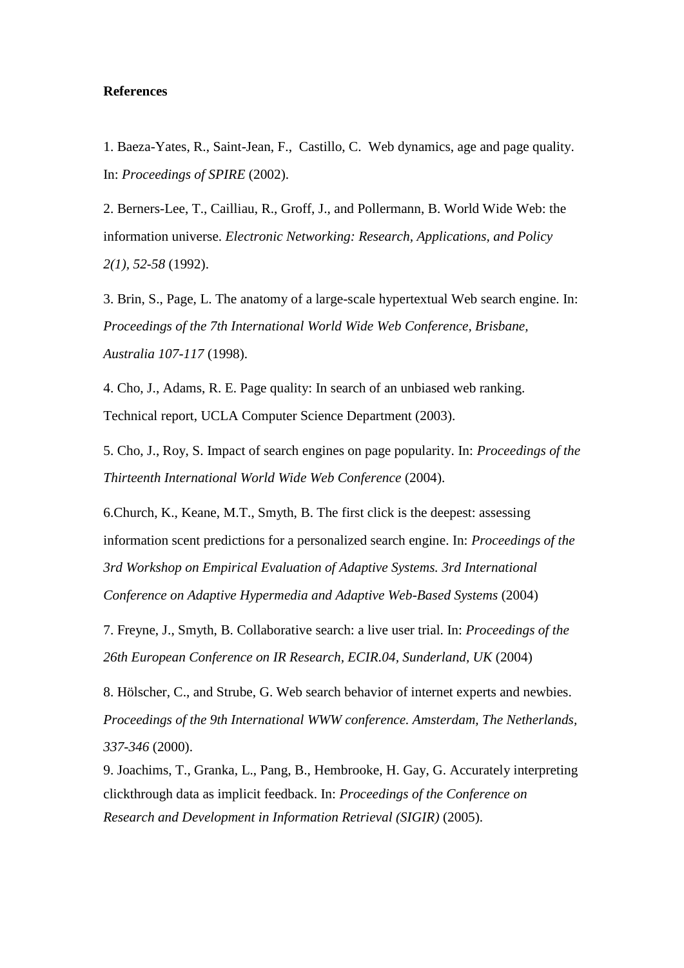## **References**

1. Baeza-Yates, R., Saint-Jean, F., Castillo, C. Web dynamics, age and page quality. In: *Proceedings of SPIRE* (2002).

2. Berners-Lee, T., Cailliau, R., Groff, J., and Pollermann, B. World Wide Web: the information universe. *Electronic Networking: Research, Applications, and Policy 2(1), 52-58* (1992).

3. Brin, S., Page, L. The anatomy of a large-scale hypertextual Web search engine. In: *Proceedings of the 7th International World Wide Web Conference, Brisbane, Australia 107-117* (1998).

4. Cho, J., Adams, R. E. Page quality: In search of an unbiased web ranking. Technical report, UCLA Computer Science Department (2003).

5. Cho, J., Roy, S. Impact of search engines on page popularity. In: *Proceedings of the Thirteenth International World Wide Web Conference* (2004).

6.Church, K., Keane, M.T., Smyth, B. The first click is the deepest: assessing information scent predictions for a personalized search engine. In: *Proceedings of the 3rd Workshop on Empirical Evaluation of Adaptive Systems. 3rd International Conference on Adaptive Hypermedia and Adaptive Web-Based Systems* (2004)

7. Freyne, J., Smyth, B. Collaborative search: a live user trial. In: *Proceedings of the 26th European Conference on IR Research, ECIR.04, Sunderland, UK* (2004)

8. Hölscher, C., and Strube, G. Web search behavior of internet experts and newbies. *Proceedings of the 9th International WWW conference. Amsterdam, The Netherlands, 337-346* (2000).

9. Joachims, T., Granka, L., Pang, B., Hembrooke, H. Gay, G. Accurately interpreting clickthrough data as implicit feedback. In: *Proceedings of the Conference on Research and Development in Information Retrieval (SIGIR)* (2005).